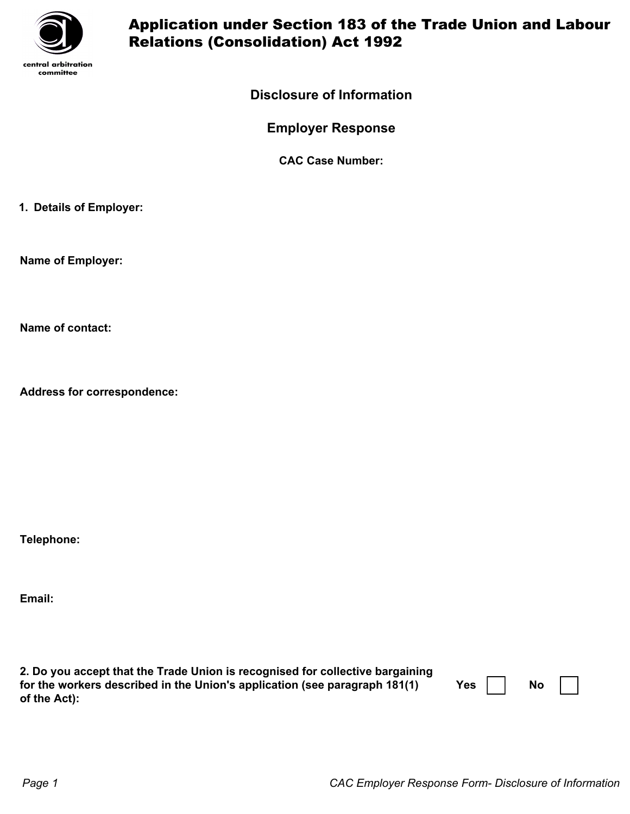

## Application under Section 183 of the Trade Union and Labour Relations (Consolidation) Act 1992

## **Disclosure of Information**

**Employer Response**

**CAC Case Number:**

**1. Details of Employer:**

**Name of Employer:**

**Name of contact:**

**Address for correspondence:**

**Telephone:**

**Email:**

| 2. Do you accept that the Trade Union is recognised for collective bargaining |     |           |  |
|-------------------------------------------------------------------------------|-----|-----------|--|
| for the workers described in the Union's application (see paragraph 181(1)    | Yes | <b>No</b> |  |
| of the Act):                                                                  |     |           |  |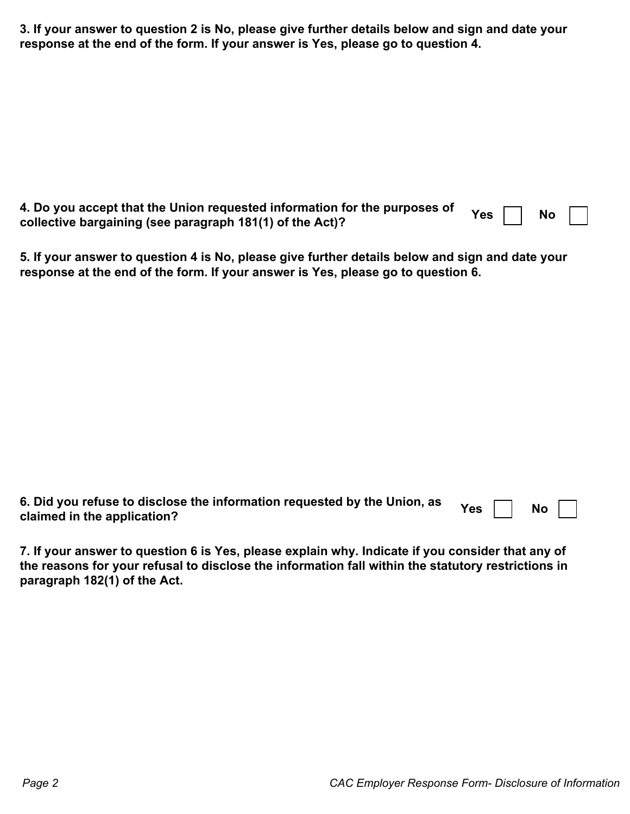**3. If your answer to question 2 is No, please give further details below and sign and date your response at the end of the form. If your answer is Yes, please go to question 4.**

| Jo you accept that the Union requested information for the purposes of Yes $\Box$ No $\Box$ |  |  |  |
|---------------------------------------------------------------------------------------------|--|--|--|
| collective bargaining (see paragraph 181(1) of the Act)?                                    |  |  |  |

**5. If your answer to question 4 is No, please give further details below and sign and date your response at the end of the form. If your answer is Yes, please go to question 6.**

| J. Did you refuse to disclose the information requested by the Union, as Yes $\Box$ No $\Box$ |  |  |  |
|-----------------------------------------------------------------------------------------------|--|--|--|
| claimed in the application?                                                                   |  |  |  |

**7. If your answer to question 6 is Yes, please explain why. Indicate if you consider that any of the reasons for your refusal to disclose the information fall within the statutory restrictions in paragraph 182(1) of the Act.**